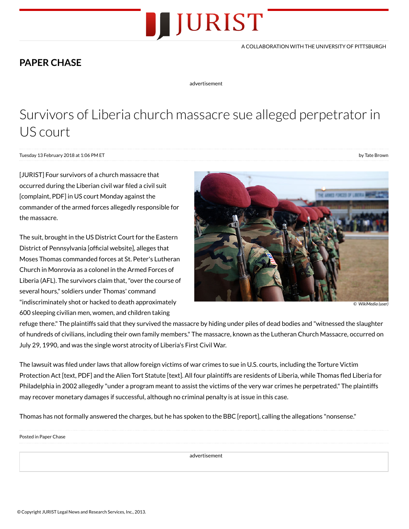

## A COLLABORATION WITH THE UNIVERSITY OF [PITTSBURGH](http://pitt.edu/)

## PAPER [CHASE](http://www.jurist.org/paperchase/)

advertisement

## Survivors of Liberia church massacre sue alleged perpetrator in US court

Tuesday 13 February 2018 at 1:06 PM ET

by Tate Brown

[JURIST] Four survivors of a church massacre that occurred during the Liberian civil war filed a civil suit [complaint, PDF] in US court Monday against the commander of the armed forces allegedly responsible for the massacre.

The suit, brought in the US District Court for the Eastern District of [Pennsylvania](http://www.paed.uscourts.gov/) [official website], alleges that Moses Thomas commanded forces at St. Peter's Lutheran Church in Monrovia as a colonel in the Armed Forces of Liberia (AFL). The survivors claim that,"over the course of several hours," soldiers under Thomas' command "indiscriminately shot or hacked to death approximately 600 sleeping civilian men, women, and children taking



© [WikiMedia](https://commons.wikimedia.org/wiki/File:USMC-100211-M-1273D-004.jpg) (user)

refuge there." The plaintiffs said that they survived the massacre by hiding under piles of dead bodies and "witnessed the slaughter of hundreds of civilians, including their own family members." The massacre, known as the Lutheran Church Massacre, occurred on July 29, 1990, and was the single worst atrocity of Liberia's First Civil War.

The lawsuit was filed under laws that allow foreign victims of war crimes to sue in U.S. courts, including the Torture Victim [Protection](https://www.gpo.gov/fdsys/pkg/STATUTE-106/pdf/STATUTE-106-Pg73.pdf) Act [text, PDF] and the Alien Tort [Statute](https://www.law.cornell.edu/uscode/text/28/1350) [text]. All four plaintiffs are residents of Liberia, while Thomas fled Liberia for Philadelphia in 2002 allegedly "under a program meant to assist the victims of the very war crimes he perpetrated." The plaintiffs may recover monetary damages if successful, although no criminal penalty is at issue in this case.

Thomas has not formally answered the charges, but he has [spoken](http://www.bbc.com/news/world-africa-42996851) to the BBC [report], calling the allegations "nonsense."

Posted in Paper [Chase](http://www.jurist.org/paperchase/)

advertisement